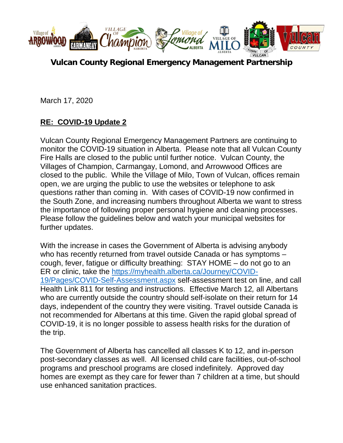

**Vulcan County Regional Emergency Management Partnership** 

March 17, 2020

## **RE: COVID-19 Update 2**

Vulcan County Regional Emergency Management Partners are continuing to monitor the COVID-19 situation in Alberta. Please note that all Vulcan County Fire Halls are closed to the public until further notice. Vulcan County, the Villages of Champion, Carmangay, Lomond, and Arrowwood Offices are closed to the public. While the Village of Milo, Town of Vulcan, offices remain open, we are urging the public to use the websites or telephone to ask questions rather than coming in. With cases of COVID-19 now confirmed in the South Zone, and increasing numbers throughout Alberta we want to stress the importance of following proper personal hygiene and cleaning processes. Please follow the guidelines below and watch your municipal websites for further updates.

With the increase in cases the Government of Alberta is advising anybody who has recently returned from travel outside Canada or has symptoms – cough, fever, fatigue or difficulty breathing: STAY HOME – do not go to an ER or clinic, take the [https://myhealth.alberta.ca/Journey/COVID-](https://myhealth.alberta.ca/Journey/COVID-19/Pages/COVID-Self-Assessment.aspx)[19/Pages/COVID-Self-Assessment.aspx](https://myhealth.alberta.ca/Journey/COVID-19/Pages/COVID-Self-Assessment.aspx) self-assessment test on line, and call Health Link 811 for testing and instructions. Effective March 12*,* all Albertans who are currently outside the country should self-isolate on their return for 14 days, independent of the country they were visiting. Travel outside Canada is not recommended for Albertans at this time. Given the rapid global spread of COVID-19, it is no longer possible to assess health risks for the duration of the trip.

The Government of Alberta has cancelled all classes K to 12, and in-person post-secondary classes as well. All licensed child care facilities, out-of-school programs and preschool programs are closed indefinitely. Approved day homes are exempt as they care for fewer than 7 children at a time, but should use enhanced sanitation practices.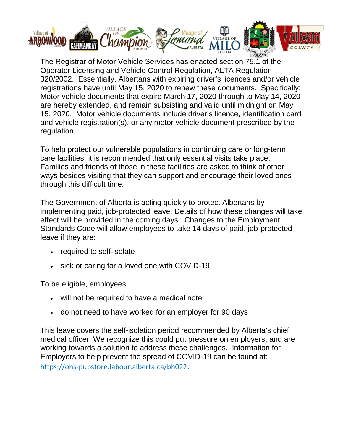

The Registrar of Motor Vehicle Services has enacted section 75.1 of the Operator Licensing and Vehicle Control Regulation, ALTA Regulation 320/2002. Essentially, Albertans with expiring driver's licences and/or vehicle registrations have until May 15, 2020 to renew these documents. Specifically: Motor vehicle documents that expire March 17, 2020 through to May 14, 2020 are hereby extended, and remain subsisting and valid until midnight on May 15, 2020. Motor vehicle documents include driver's licence, identification card and vehicle registration(s), or any motor vehicle document prescribed by the regulation.

To help protect our vulnerable populations in continuing care or long-term care facilities, it is recommended that only essential visits take place. Families and friends of those in these facilities are asked to think of other ways besides visiting that they can support and encourage their loved ones through this difficult time.

The Government of Alberta is acting quickly to protect Albertans by implementing paid, job-protected leave. Details of how these changes will take effect will be provided in the coming days. Changes to the Employment Standards Code will allow employees to take 14 days of paid, job-protected leave if they are:

- required to self-isolate
- sick or caring for a loved one with COVID-19

To be eligible, employees:

- will not be required to have a medical note
- do not need to have worked for an employer for 90 days

This leave covers the self-isolation period recommended by Alberta's chief medical officer. We recognize this could put pressure on employers, and are working towards a solution to address these challenges. Information for Employers to help prevent the spread of COVID-19 can be found at: <https://ohs-pubstore.labour.alberta.ca/bh022>.